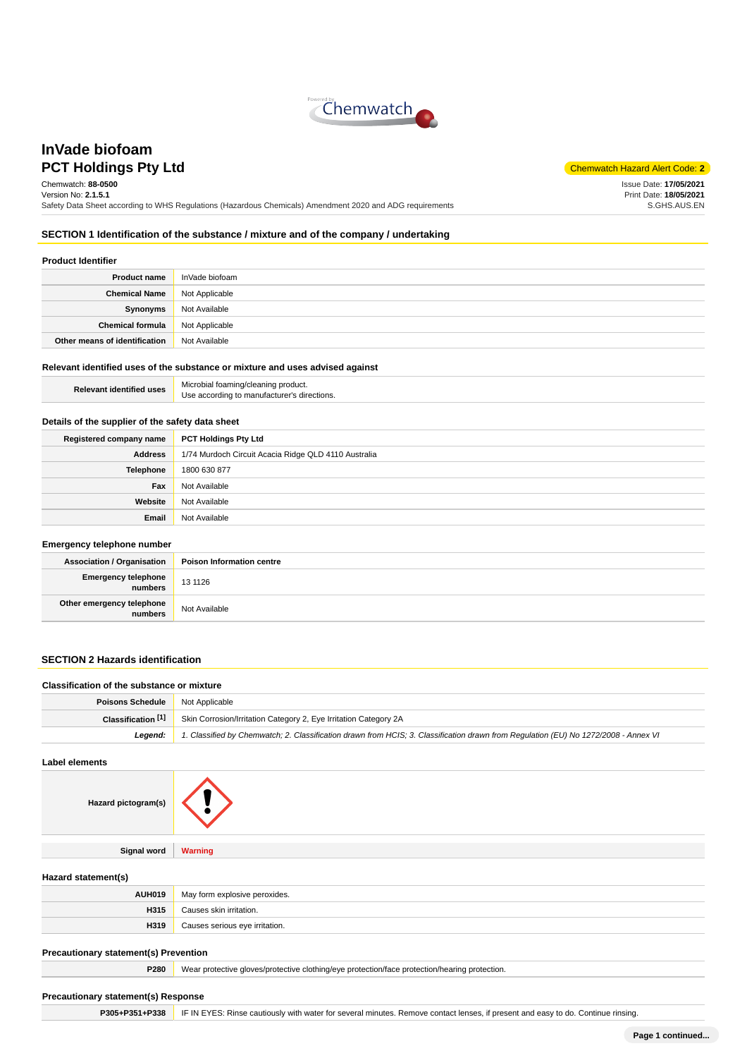

# **PCT Holdings Pty Ltd** Chemwatch Hazard Alert Code: **2 InVade biofoam**

Chemwatch: **88-0500** Version No: **2.1.5.1** Safety Data Sheet according to WHS Regulations (Hazardous Chemicals) Amendment 2020 and ADG requirements

Issue Date: **17/05/2021** Print Date: **18/05/2021** S.GHS.AUS.EN

## **SECTION 1 Identification of the substance / mixture and of the company / undertaking**

#### **Product Identifier**

| <b>Product name</b>           | InVade biofoam |
|-------------------------------|----------------|
| <b>Chemical Name</b>          | Not Applicable |
| Synonyms                      | Not Available  |
| <b>Chemical formula</b>       | Not Applicable |
| Other means of identification | Not Available  |

#### **Relevant identified uses of the substance or mixture and uses advised against**

| <b>Relevant identified uses</b> | Microbial foaming/cleaning product.<br>Use according to manufacturer's directions. |
|---------------------------------|------------------------------------------------------------------------------------|
|                                 |                                                                                    |

#### **Details of the supplier of the safety data sheet**

| Registered company name | <b>PCT Holdings Pty Ltd</b>                          |
|-------------------------|------------------------------------------------------|
| <b>Address</b>          | 1/74 Murdoch Circuit Acacia Ridge QLD 4110 Australia |
| Telephone               | 1800 630 877                                         |
| Fax                     | Not Available                                        |
| Website                 | Not Available                                        |
| Email                   | Not Available                                        |

#### **Emergency telephone number**

| $-$                                  |                                  |
|--------------------------------------|----------------------------------|
| <b>Association / Organisation</b>    | <b>Poison Information centre</b> |
| Emergency telephone<br>numbers       | 13 11 26                         |
| Other emergency telephone<br>numbers | Not Available                    |

### **SECTION 2 Hazards identification**

| Classification of the substance or mixture |                                                                                                                                     |
|--------------------------------------------|-------------------------------------------------------------------------------------------------------------------------------------|
| <b>Poisons Schedule</b> Not Applicable     |                                                                                                                                     |
| Classification [1]                         | Skin Corrosion/Irritation Category 2, Eye Irritation Category 2A                                                                    |
| Leaend:                                    | 1. Classified by Chemwatch; 2. Classification drawn from HCIS; 3. Classification drawn from Requlation (EU) No 1272/2008 - Annex VI |

#### **Label elements**

| Hazard pictogram(s) |                |
|---------------------|----------------|
|                     |                |
| Signal word         | <b>Warning</b> |

#### **Hazard statement(s)**

| <b>AUH019</b> | May form explosive peroxides.  |
|---------------|--------------------------------|
| H315          | Causes skin irritation.        |
| H319          | Causes serious eye irritation. |

#### **Precautionary statement(s) Prevention**

**P280** Wear protective gloves/protective clothing/eye protection/face protection/hearing protection.

#### **Precautionary statement(s) Response**

**P305+P351+P338** IF IN EYES: Rinse cautiously with water for several minutes. Remove contact lenses, if present and easy to do. Continue rinsing.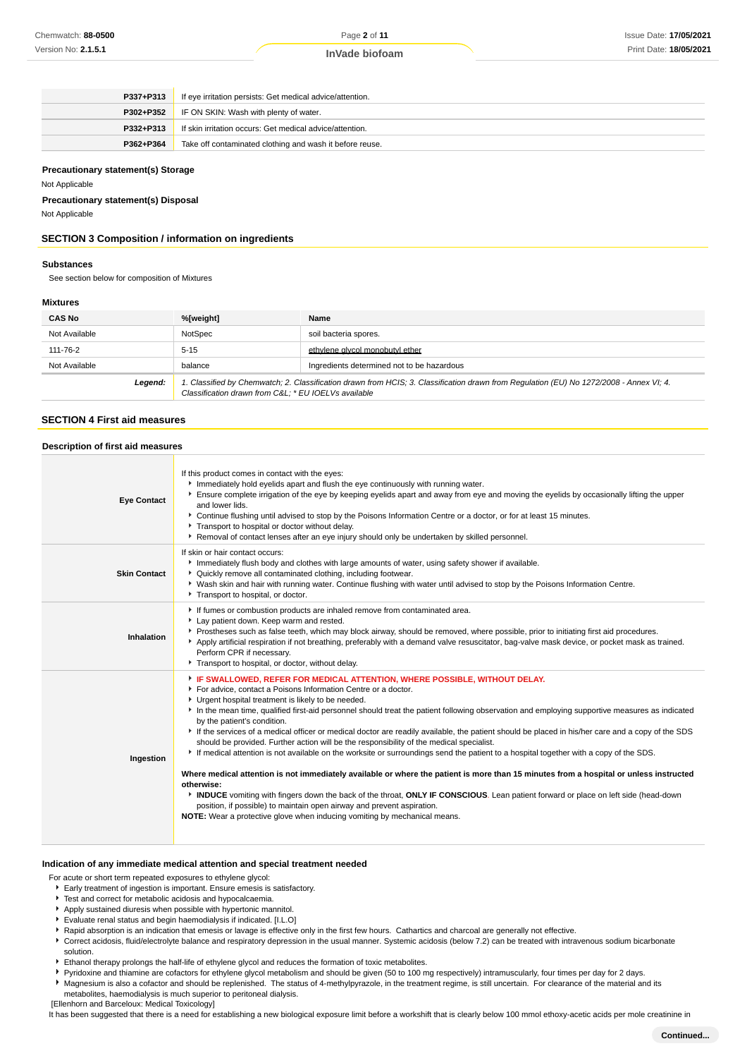| P337+P313 | If eye irritation persists: Get medical advice/attention. |
|-----------|-----------------------------------------------------------|
| P302+P352 | IF ON SKIN: Wash with plenty of water.                    |
| P332+P313 | If skin irritation occurs: Get medical advice/attention.  |
| P362+P364 | Take off contaminated clothing and wash it before reuse.  |

#### **Precautionary statement(s) Storage**

Not Applicable

**Precautionary statement(s) Disposal**

Not Applicable

## **SECTION 3 Composition / information on ingredients**

## **Substances**

See section below for composition of Mixtures

#### **Mixtures**

| <b>CAS No</b> | %[weight]                                                                                                                                                                                      | Name                                       |
|---------------|------------------------------------------------------------------------------------------------------------------------------------------------------------------------------------------------|--------------------------------------------|
| Not Available | NotSpec                                                                                                                                                                                        | soil bacteria spores.                      |
| 111-76-2      | $5 - 15$                                                                                                                                                                                       | ethylene givcol monobutyl ether            |
| Not Available | balance                                                                                                                                                                                        | Ingredients determined not to be hazardous |
| Legend:       | 1. Classified by Chemwatch; 2. Classification drawn from HCIS; 3. Classification drawn from Regulation (EU) No 1272/2008 - Annex VI; 4.<br>Classification drawn from C&L * EU IOELVs available |                                            |

### **SECTION 4 First aid measures**

#### **Description of first aid measures**

| <b>Eye Contact</b>  | If this product comes in contact with the eyes:<br>Immediately hold eyelids apart and flush the eye continuously with running water.<br>Ensure complete irrigation of the eye by keeping eyelids apart and away from eye and moving the eyelids by occasionally lifting the upper<br>and lower lids.<br>▶ Continue flushing until advised to stop by the Poisons Information Centre or a doctor, or for at least 15 minutes.<br>Transport to hospital or doctor without delay.<br>▶ Removal of contact lenses after an eye injury should only be undertaken by skilled personnel.                                                                                                                                                                                                                                                                                                                                                                                                                                                                                                                                                                                                                                                      |
|---------------------|----------------------------------------------------------------------------------------------------------------------------------------------------------------------------------------------------------------------------------------------------------------------------------------------------------------------------------------------------------------------------------------------------------------------------------------------------------------------------------------------------------------------------------------------------------------------------------------------------------------------------------------------------------------------------------------------------------------------------------------------------------------------------------------------------------------------------------------------------------------------------------------------------------------------------------------------------------------------------------------------------------------------------------------------------------------------------------------------------------------------------------------------------------------------------------------------------------------------------------------|
| <b>Skin Contact</b> | If skin or hair contact occurs:<br>Immediately flush body and clothes with large amounts of water, using safety shower if available.<br>• Quickly remove all contaminated clothing, including footwear.<br>▶ Wash skin and hair with running water. Continue flushing with water until advised to stop by the Poisons Information Centre.<br>Transport to hospital, or doctor.                                                                                                                                                                                                                                                                                                                                                                                                                                                                                                                                                                                                                                                                                                                                                                                                                                                         |
| Inhalation          | If fumes or combustion products are inhaled remove from contaminated area.<br>Lay patient down. Keep warm and rested.<br>▶ Prostheses such as false teeth, which may block airway, should be removed, where possible, prior to initiating first aid procedures.<br>Apply artificial respiration if not breathing, preferably with a demand valve resuscitator, bag-valve mask device, or pocket mask as trained.<br>Perform CPR if necessary.<br>Transport to hospital, or doctor, without delay.                                                                                                                                                                                                                                                                                                                                                                                                                                                                                                                                                                                                                                                                                                                                      |
| Ingestion           | F IF SWALLOWED, REFER FOR MEDICAL ATTENTION, WHERE POSSIBLE, WITHOUT DELAY.<br>For advice, contact a Poisons Information Centre or a doctor.<br>Urgent hospital treatment is likely to be needed.<br>In the mean time, qualified first-aid personnel should treat the patient following observation and employing supportive measures as indicated<br>by the patient's condition.<br>If the services of a medical officer or medical doctor are readily available, the patient should be placed in his/her care and a copy of the SDS<br>should be provided. Further action will be the responsibility of the medical specialist.<br>If medical attention is not available on the worksite or surroundings send the patient to a hospital together with a copy of the SDS.<br>Where medical attention is not immediately available or where the patient is more than 15 minutes from a hospital or unless instructed<br>otherwise:<br>INDUCE vomiting with fingers down the back of the throat, ONLY IF CONSCIOUS. Lean patient forward or place on left side (head-down<br>position, if possible) to maintain open airway and prevent aspiration.<br><b>NOTE:</b> Wear a protective glove when inducing vomiting by mechanical means. |

#### **Indication of any immediate medical attention and special treatment needed**

- For acute or short term repeated exposures to ethylene glycol:
- Early treatment of ingestion is important. Ensure emesis is satisfactory.
- $\blacktriangleright$  Test and correct for metabolic acidosis and hypocalcaemia.
- Apply sustained diuresis when possible with hypertonic mannitol.
- Evaluate renal status and begin haemodialysis if indicated. [I.L.O]
- **F** Rapid absorption is an indication that emesis or lavage is effective only in the first few hours. Cathartics and charcoal are generally not effective.
- Correct acidosis, fluid/electrolyte balance and respiratory depression in the usual manner. Systemic acidosis (below 7.2) can be treated with intravenous sodium bicarbonate solution.
- Ethanol therapy prolongs the half-life of ethylene glycol and reduces the formation of toxic metabolites.
- Pyridoxine and thiamine are cofactors for ethylene glycol metabolism and should be given (50 to 100 mg respectively) intramuscularly, four times per day for 2 days.
- Magnesium is also a cofactor and should be replenished. The status of 4-methylpyrazole, in the treatment regime, is still uncertain. For clearance of the material and its metabolites, haemodialysis is much superior to peritoneal dialysis.
- [Ellenhorn and Barceloux: Medical Toxicology]

It has been suggested that there is a need for establishing a new biological exposure limit before a workshift that is clearly below 100 mmol ethoxy-acetic acids per mole creatinine in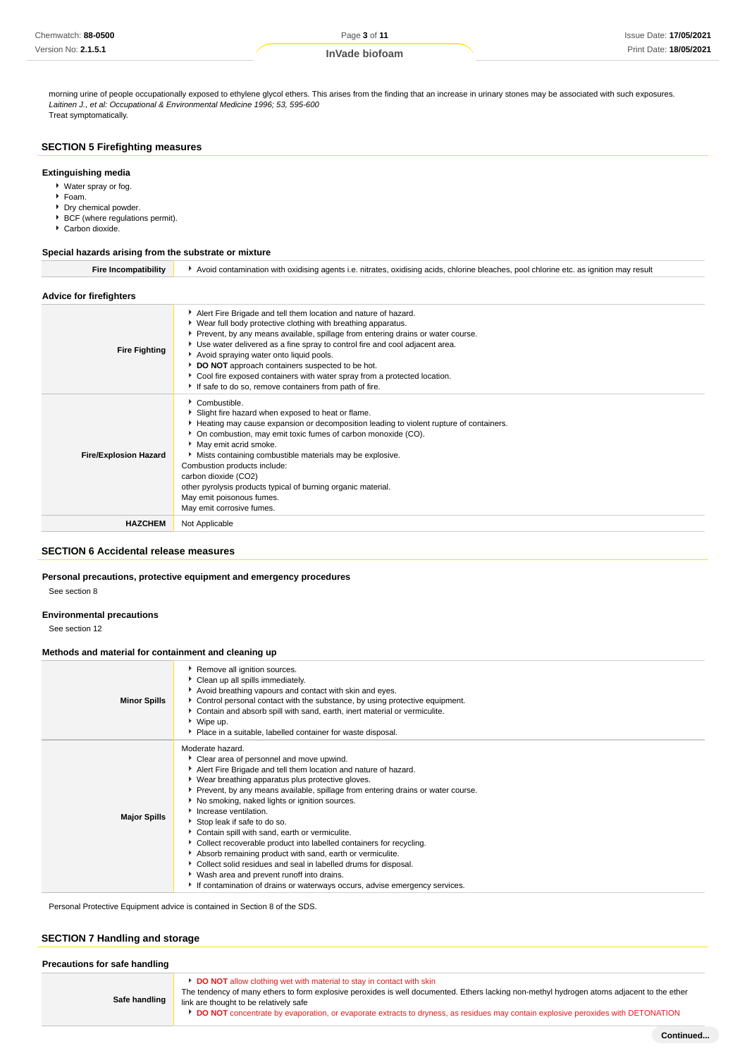**InVade biofoam**

morning urine of people occupationally exposed to ethylene glycol ethers. This arises from the finding that an increase in urinary stones may be associated with such exposures. Laitinen J., et al: Occupational & Environmental Medicine 1996; 53, 595-600 Treat symptomatically.

#### **SECTION 5 Firefighting measures**

#### **Extinguishing media**

- Water spray or fog.
- Foam.
- **Dry chemical powder.**
- ▶ BCF (where regulations permit).
- Carbon dioxide.

#### **Special hazards arising from the substrate or mixture**

| <b>Fire Incompatibility</b>  | Avoid contamination with oxidising agents i.e. nitrates, oxidising acids, chlorine bleaches, pool chlorine etc. as ignition may result                                                                                                                                                                                                                                                                                                                                                                                                  |  |  |
|------------------------------|-----------------------------------------------------------------------------------------------------------------------------------------------------------------------------------------------------------------------------------------------------------------------------------------------------------------------------------------------------------------------------------------------------------------------------------------------------------------------------------------------------------------------------------------|--|--|
| Advice for firefighters      |                                                                                                                                                                                                                                                                                                                                                                                                                                                                                                                                         |  |  |
| <b>Fire Fighting</b>         | Alert Fire Brigade and tell them location and nature of hazard.<br>▶ Wear full body protective clothing with breathing apparatus.<br>Prevent, by any means available, spillage from entering drains or water course.<br>Use water delivered as a fine spray to control fire and cool adjacent area.<br>Avoid spraying water onto liquid pools.<br>DO NOT approach containers suspected to be hot.<br>Cool fire exposed containers with water spray from a protected location.<br>If safe to do so, remove containers from path of fire. |  |  |
| <b>Fire/Explosion Hazard</b> | $\bullet$ Combustible.<br>Slight fire hazard when exposed to heat or flame.<br>Heating may cause expansion or decomposition leading to violent rupture of containers.<br>On combustion, may emit toxic fumes of carbon monoxide (CO).<br>May emit acrid smoke.<br>Mists containing combustible materials may be explosive.<br>Combustion products include:<br>carbon dioxide (CO2)<br>other pyrolysis products typical of burning organic material.<br>May emit poisonous fumes.<br>May emit corrosive fumes.                           |  |  |
| <b>HAZCHEM</b>               | Not Applicable                                                                                                                                                                                                                                                                                                                                                                                                                                                                                                                          |  |  |
|                              |                                                                                                                                                                                                                                                                                                                                                                                                                                                                                                                                         |  |  |

## **SECTION 6 Accidental release measures**

#### **Personal precautions, protective equipment and emergency procedures**

See section 8

#### **Environmental precautions**

See section 12

#### **Methods and material for containment and cleaning up**

| <b>Minor Spills</b> | Remove all ignition sources.<br>Clean up all spills immediately.<br>Avoid breathing vapours and contact with skin and eyes.<br>► Control personal contact with the substance, by using protective equipment.<br>Contain and absorb spill with sand, earth, inert material or vermiculite.<br>▶ Wipe up.<br>• Place in a suitable, labelled container for waste disposal.                                                                                                                                                                                                                                                                                                                                                                                                    |
|---------------------|-----------------------------------------------------------------------------------------------------------------------------------------------------------------------------------------------------------------------------------------------------------------------------------------------------------------------------------------------------------------------------------------------------------------------------------------------------------------------------------------------------------------------------------------------------------------------------------------------------------------------------------------------------------------------------------------------------------------------------------------------------------------------------|
| <b>Major Spills</b> | Moderate hazard.<br>• Clear area of personnel and move upwind.<br>Alert Fire Brigade and tell them location and nature of hazard.<br>▶ Wear breathing apparatus plus protective gloves.<br>Prevent, by any means available, spillage from entering drains or water course.<br>No smoking, naked lights or ignition sources.<br>Increase ventilation.<br>Stop leak if safe to do so.<br>Contain spill with sand, earth or vermiculite.<br>▶ Collect recoverable product into labelled containers for recycling.<br>Absorb remaining product with sand, earth or vermiculite.<br>Collect solid residues and seal in labelled drums for disposal.<br>▶ Wash area and prevent runoff into drains.<br>If contamination of drains or waterways occurs, advise emergency services. |

Personal Protective Equipment advice is contained in Section 8 of the SDS.

## **SECTION 7 Handling and storage**

| Precautions for safe handling |                                                                                                                                                                                                                                                                                                                                                                                                         |
|-------------------------------|---------------------------------------------------------------------------------------------------------------------------------------------------------------------------------------------------------------------------------------------------------------------------------------------------------------------------------------------------------------------------------------------------------|
| Safe handling                 | <b>DO NOT</b> allow clothing wet with material to stay in contact with skin<br>The tendency of many ethers to form explosive peroxides is well documented. Ethers lacking non-methyl hydrogen atoms adjacent to the ether<br>link are thought to be relatively safe<br>DO NOT concentrate by evaporation, or evaporate extracts to dryness, as residues may contain explosive peroxides with DETONATION |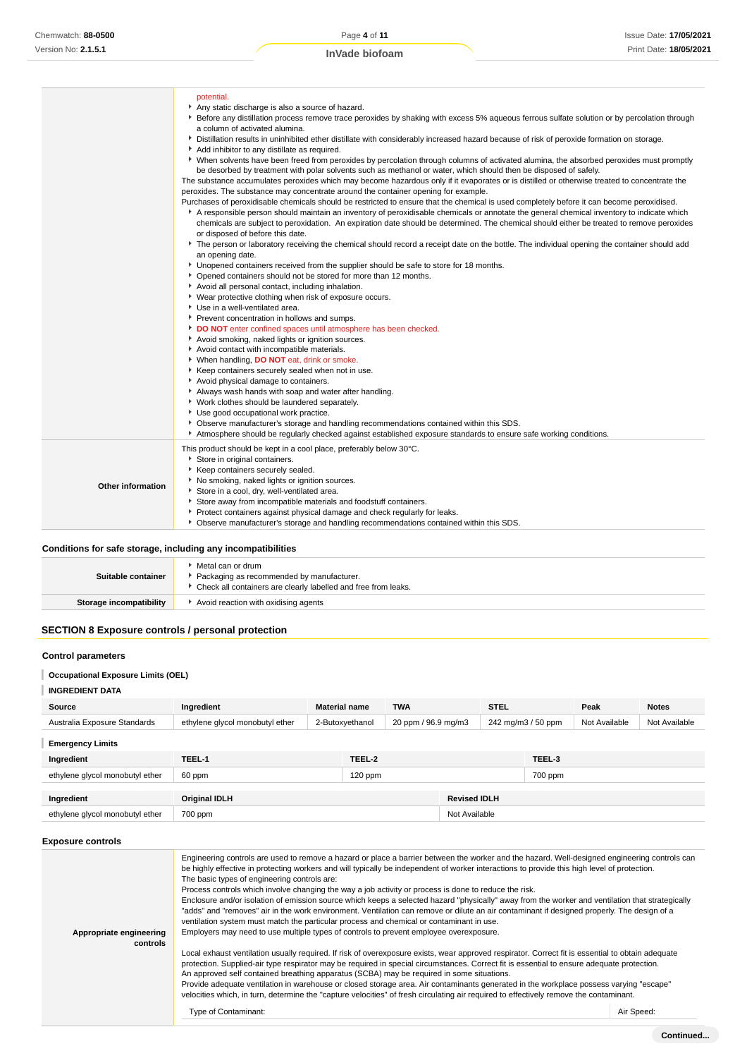**InVade biofoam**

|                   | potential.<br>Any static discharge is also a source of hazard.<br>▶ Before any distillation process remove trace peroxides by shaking with excess 5% aqueous ferrous sulfate solution or by percolation through<br>a column of activated alumina.<br>Distillation results in uninhibited ether distillate with considerably increased hazard because of risk of peroxide formation on storage.<br>Add inhibitor to any distillate as required.<br>• When solvents have been freed from peroxides by percolation through columns of activated alumina, the absorbed peroxides must promptly<br>be desorbed by treatment with polar solvents such as methanol or water, which should then be disposed of safely.<br>The substance accumulates peroxides which may become hazardous only if it evaporates or is distilled or otherwise treated to concentrate the<br>peroxides. The substance may concentrate around the container opening for example.<br>Purchases of peroxidisable chemicals should be restricted to ensure that the chemical is used completely before it can become peroxidised.<br>A responsible person should maintain an inventory of peroxidisable chemicals or annotate the general chemical inventory to indicate which<br>chemicals are subject to peroxidation. An expiration date should be determined. The chemical should either be treated to remove peroxides<br>or disposed of before this date.<br>The person or laboratory receiving the chemical should record a receipt date on the bottle. The individual opening the container should add<br>an opening date.<br>• Unopened containers received from the supplier should be safe to store for 18 months.<br>* Opened containers should not be stored for more than 12 months.<br>Avoid all personal contact, including inhalation.<br>• Wear protective clothing when risk of exposure occurs.<br>Use in a well-ventilated area.<br>Prevent concentration in hollows and sumps.<br>DO NOT enter confined spaces until atmosphere has been checked.<br>Avoid smoking, naked lights or ignition sources.<br>Avoid contact with incompatible materials.<br>Vhen handling, DO NOT eat, drink or smoke.<br>▶ Keep containers securely sealed when not in use.<br>Avoid physical damage to containers.<br>Always wash hands with soap and water after handling.<br>▶ Work clothes should be laundered separately.<br>Use good occupational work practice.<br>▶ Observe manufacturer's storage and handling recommendations contained within this SDS.<br>Atmosphere should be regularly checked against established exposure standards to ensure safe working conditions. |
|-------------------|-----------------------------------------------------------------------------------------------------------------------------------------------------------------------------------------------------------------------------------------------------------------------------------------------------------------------------------------------------------------------------------------------------------------------------------------------------------------------------------------------------------------------------------------------------------------------------------------------------------------------------------------------------------------------------------------------------------------------------------------------------------------------------------------------------------------------------------------------------------------------------------------------------------------------------------------------------------------------------------------------------------------------------------------------------------------------------------------------------------------------------------------------------------------------------------------------------------------------------------------------------------------------------------------------------------------------------------------------------------------------------------------------------------------------------------------------------------------------------------------------------------------------------------------------------------------------------------------------------------------------------------------------------------------------------------------------------------------------------------------------------------------------------------------------------------------------------------------------------------------------------------------------------------------------------------------------------------------------------------------------------------------------------------------------------------------------------------------------------------------------------------------------------------------------------------------------------------------------------------------------------------------------------------------------------------------------------------------------------------------------------------------------------------------------------------------------------------------------------------------------------------------------------------------------------------------------------------------------------------------------------------------------------------|
| Other information | This product should be kept in a cool place, preferably below 30°C.<br>Store in original containers.<br>▶ Keep containers securely sealed.<br>No smoking, naked lights or ignition sources.<br>Store in a cool, dry, well-ventilated area.<br>Store away from incompatible materials and foodstuff containers.<br>Protect containers against physical damage and check regularly for leaks.<br>▶ Observe manufacturer's storage and handling recommendations contained within this SDS.                                                                                                                                                                                                                                                                                                                                                                                                                                                                                                                                                                                                                                                                                                                                                                                                                                                                                                                                                                                                                                                                                                                                                                                                                                                                                                                                                                                                                                                                                                                                                                                                                                                                                                                                                                                                                                                                                                                                                                                                                                                                                                                                                                   |

## **Conditions for safe storage, including any incompatibilities**

| Suitable container      | Metal can or drum<br>Packaging as recommended by manufacturer.<br>• Check all containers are clearly labelled and free from leaks. |
|-------------------------|------------------------------------------------------------------------------------------------------------------------------------|
| Storage incompatibility | Avoid reaction with oxidising agents                                                                                               |

## **SECTION 8 Exposure controls / personal protection**

#### **Control parameters**

## **Occupational Exposure Limits (OEL)**

## **INGREDIENT DATA**

| Source                          | Ingredient                      | <b>Material name</b> |                 | <b>TWA</b>          |                     | <b>STEL</b> |                    | Peak          | <b>Notes</b>  |
|---------------------------------|---------------------------------|----------------------|-----------------|---------------------|---------------------|-------------|--------------------|---------------|---------------|
| Australia Exposure Standards    | ethylene glycol monobutyl ether |                      | 2-Butoxyethanol | 20 ppm / 96.9 mg/m3 |                     |             | 242 mg/m3 / 50 ppm | Not Available | Not Available |
| <b>Emergency Limits</b>         |                                 |                      |                 |                     |                     |             |                    |               |               |
| Ingredient                      | TEEL-1                          |                      | TEEL-2          |                     |                     |             | TEEL-3             |               |               |
| ethylene glycol monobutyl ether | 60 ppm                          |                      | 120 ppm         |                     |                     |             | 700 ppm            |               |               |
|                                 |                                 |                      |                 |                     |                     |             |                    |               |               |
| Ingredient                      | <b>Original IDLH</b>            |                      |                 |                     | <b>Revised IDLH</b> |             |                    |               |               |
| ethylene glycol monobutyl ether | 700 ppm                         |                      |                 |                     | Not Available       |             |                    |               |               |

## **Exposure controls**

| Appropriate engineering<br>controls | Engineering controls are used to remove a hazard or place a barrier between the worker and the hazard. Well-designed engineering controls can<br>be highly effective in protecting workers and will typically be independent of worker interactions to provide this high level of protection.<br>The basic types of engineering controls are:<br>Process controls which involve changing the way a job activity or process is done to reduce the risk.<br>Enclosure and/or isolation of emission source which keeps a selected hazard "physically" away from the worker and ventilation that strategically<br>"adds" and "removes" air in the work environment. Ventilation can remove or dilute an air contaminant if designed properly. The design of a<br>ventilation system must match the particular process and chemical or contaminant in use.<br>Employers may need to use multiple types of controls to prevent employee overexposure.<br>Local exhaust ventilation usually required. If risk of overexposure exists, wear approved respirator. Correct fit is essential to obtain adequate<br>protection. Supplied-air type respirator may be required in special circumstances. Correct fit is essential to ensure adequate protection.<br>An approved self contained breathing apparatus (SCBA) may be required in some situations.<br>Provide adequate ventilation in warehouse or closed storage area. Air contaminants generated in the workplace possess varying "escape"<br>velocities which, in turn, determine the "capture velocities" of fresh circulating air required to effectively remove the contaminant.<br>Type of Contaminant: | Air Speed: |
|-------------------------------------|-------------------------------------------------------------------------------------------------------------------------------------------------------------------------------------------------------------------------------------------------------------------------------------------------------------------------------------------------------------------------------------------------------------------------------------------------------------------------------------------------------------------------------------------------------------------------------------------------------------------------------------------------------------------------------------------------------------------------------------------------------------------------------------------------------------------------------------------------------------------------------------------------------------------------------------------------------------------------------------------------------------------------------------------------------------------------------------------------------------------------------------------------------------------------------------------------------------------------------------------------------------------------------------------------------------------------------------------------------------------------------------------------------------------------------------------------------------------------------------------------------------------------------------------------------------------------------------------------------------------------------------------------------------|------------|
|                                     |                                                                                                                                                                                                                                                                                                                                                                                                                                                                                                                                                                                                                                                                                                                                                                                                                                                                                                                                                                                                                                                                                                                                                                                                                                                                                                                                                                                                                                                                                                                                                                                                                                                             |            |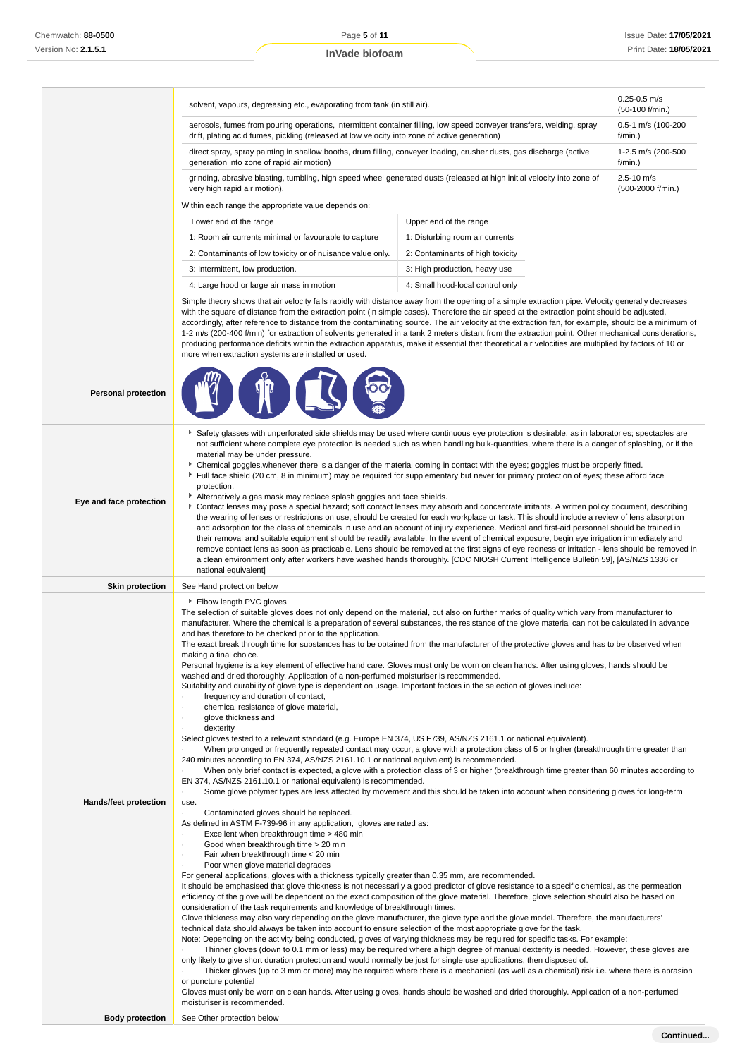|                              | solvent, vapours, degreasing etc., evaporating from tank (in still air).                                                                                                                                                                                                                                                                                                                                                                                                                                                                                                                                                                                                                                                                                                                                                                                                                                                                                                                                                                                                                                                                                                                                                                                                                                                                                                                                                                                                                                                                                                                                                                                                                                                                                                                                                                                                                                                                                                                                                                                                                                                                                                                                                                                                                                                                                                                                                                                                                                                                                                                                                                                                                                                                                                                                                                                                                                         | $0.25 - 0.5$ m/s<br>(50-100 f/min.)                                                                                                                                                                                                                                                                                                                                                                                                                                                                                                                                                                                                                                                                               |  |  |  |
|------------------------------|------------------------------------------------------------------------------------------------------------------------------------------------------------------------------------------------------------------------------------------------------------------------------------------------------------------------------------------------------------------------------------------------------------------------------------------------------------------------------------------------------------------------------------------------------------------------------------------------------------------------------------------------------------------------------------------------------------------------------------------------------------------------------------------------------------------------------------------------------------------------------------------------------------------------------------------------------------------------------------------------------------------------------------------------------------------------------------------------------------------------------------------------------------------------------------------------------------------------------------------------------------------------------------------------------------------------------------------------------------------------------------------------------------------------------------------------------------------------------------------------------------------------------------------------------------------------------------------------------------------------------------------------------------------------------------------------------------------------------------------------------------------------------------------------------------------------------------------------------------------------------------------------------------------------------------------------------------------------------------------------------------------------------------------------------------------------------------------------------------------------------------------------------------------------------------------------------------------------------------------------------------------------------------------------------------------------------------------------------------------------------------------------------------------------------------------------------------------------------------------------------------------------------------------------------------------------------------------------------------------------------------------------------------------------------------------------------------------------------------------------------------------------------------------------------------------------------------------------------------------------------------------------------------------|-------------------------------------------------------------------------------------------------------------------------------------------------------------------------------------------------------------------------------------------------------------------------------------------------------------------------------------------------------------------------------------------------------------------------------------------------------------------------------------------------------------------------------------------------------------------------------------------------------------------------------------------------------------------------------------------------------------------|--|--|--|
|                              | aerosols, fumes from pouring operations, intermittent container filling, low speed conveyer transfers, welding, spray<br>drift, plating acid fumes, pickling (released at low velocity into zone of active generation)                                                                                                                                                                                                                                                                                                                                                                                                                                                                                                                                                                                                                                                                                                                                                                                                                                                                                                                                                                                                                                                                                                                                                                                                                                                                                                                                                                                                                                                                                                                                                                                                                                                                                                                                                                                                                                                                                                                                                                                                                                                                                                                                                                                                                                                                                                                                                                                                                                                                                                                                                                                                                                                                                           | 0.5-1 m/s (100-200<br>$f/min.$ )                                                                                                                                                                                                                                                                                                                                                                                                                                                                                                                                                                                                                                                                                  |  |  |  |
|                              | direct spray, spray painting in shallow booths, drum filling, conveyer loading, crusher dusts, gas discharge (active<br>generation into zone of rapid air motion)                                                                                                                                                                                                                                                                                                                                                                                                                                                                                                                                                                                                                                                                                                                                                                                                                                                                                                                                                                                                                                                                                                                                                                                                                                                                                                                                                                                                                                                                                                                                                                                                                                                                                                                                                                                                                                                                                                                                                                                                                                                                                                                                                                                                                                                                                                                                                                                                                                                                                                                                                                                                                                                                                                                                                | 1-2.5 m/s (200-500<br>$f/min.$ )                                                                                                                                                                                                                                                                                                                                                                                                                                                                                                                                                                                                                                                                                  |  |  |  |
|                              | grinding, abrasive blasting, tumbling, high speed wheel generated dusts (released at high initial velocity into zone of<br>very high rapid air motion).                                                                                                                                                                                                                                                                                                                                                                                                                                                                                                                                                                                                                                                                                                                                                                                                                                                                                                                                                                                                                                                                                                                                                                                                                                                                                                                                                                                                                                                                                                                                                                                                                                                                                                                                                                                                                                                                                                                                                                                                                                                                                                                                                                                                                                                                                                                                                                                                                                                                                                                                                                                                                                                                                                                                                          | $2.5 - 10$ m/s<br>(500-2000 f/min.)                                                                                                                                                                                                                                                                                                                                                                                                                                                                                                                                                                                                                                                                               |  |  |  |
|                              | Within each range the appropriate value depends on:                                                                                                                                                                                                                                                                                                                                                                                                                                                                                                                                                                                                                                                                                                                                                                                                                                                                                                                                                                                                                                                                                                                                                                                                                                                                                                                                                                                                                                                                                                                                                                                                                                                                                                                                                                                                                                                                                                                                                                                                                                                                                                                                                                                                                                                                                                                                                                                                                                                                                                                                                                                                                                                                                                                                                                                                                                                              |                                                                                                                                                                                                                                                                                                                                                                                                                                                                                                                                                                                                                                                                                                                   |  |  |  |
|                              | Lower end of the range                                                                                                                                                                                                                                                                                                                                                                                                                                                                                                                                                                                                                                                                                                                                                                                                                                                                                                                                                                                                                                                                                                                                                                                                                                                                                                                                                                                                                                                                                                                                                                                                                                                                                                                                                                                                                                                                                                                                                                                                                                                                                                                                                                                                                                                                                                                                                                                                                                                                                                                                                                                                                                                                                                                                                                                                                                                                                           | Upper end of the range                                                                                                                                                                                                                                                                                                                                                                                                                                                                                                                                                                                                                                                                                            |  |  |  |
|                              | 1: Room air currents minimal or favourable to capture                                                                                                                                                                                                                                                                                                                                                                                                                                                                                                                                                                                                                                                                                                                                                                                                                                                                                                                                                                                                                                                                                                                                                                                                                                                                                                                                                                                                                                                                                                                                                                                                                                                                                                                                                                                                                                                                                                                                                                                                                                                                                                                                                                                                                                                                                                                                                                                                                                                                                                                                                                                                                                                                                                                                                                                                                                                            | 1: Disturbing room air currents                                                                                                                                                                                                                                                                                                                                                                                                                                                                                                                                                                                                                                                                                   |  |  |  |
|                              | 2: Contaminants of low toxicity or of nuisance value only.                                                                                                                                                                                                                                                                                                                                                                                                                                                                                                                                                                                                                                                                                                                                                                                                                                                                                                                                                                                                                                                                                                                                                                                                                                                                                                                                                                                                                                                                                                                                                                                                                                                                                                                                                                                                                                                                                                                                                                                                                                                                                                                                                                                                                                                                                                                                                                                                                                                                                                                                                                                                                                                                                                                                                                                                                                                       | 2: Contaminants of high toxicity                                                                                                                                                                                                                                                                                                                                                                                                                                                                                                                                                                                                                                                                                  |  |  |  |
|                              | 3: Intermittent, low production.                                                                                                                                                                                                                                                                                                                                                                                                                                                                                                                                                                                                                                                                                                                                                                                                                                                                                                                                                                                                                                                                                                                                                                                                                                                                                                                                                                                                                                                                                                                                                                                                                                                                                                                                                                                                                                                                                                                                                                                                                                                                                                                                                                                                                                                                                                                                                                                                                                                                                                                                                                                                                                                                                                                                                                                                                                                                                 | 3: High production, heavy use                                                                                                                                                                                                                                                                                                                                                                                                                                                                                                                                                                                                                                                                                     |  |  |  |
|                              | 4: Large hood or large air mass in motion                                                                                                                                                                                                                                                                                                                                                                                                                                                                                                                                                                                                                                                                                                                                                                                                                                                                                                                                                                                                                                                                                                                                                                                                                                                                                                                                                                                                                                                                                                                                                                                                                                                                                                                                                                                                                                                                                                                                                                                                                                                                                                                                                                                                                                                                                                                                                                                                                                                                                                                                                                                                                                                                                                                                                                                                                                                                        | 4: Small hood-local control only                                                                                                                                                                                                                                                                                                                                                                                                                                                                                                                                                                                                                                                                                  |  |  |  |
|                              | Simple theory shows that air velocity falls rapidly with distance away from the opening of a simple extraction pipe. Velocity generally decreases<br>with the square of distance from the extraction point (in simple cases). Therefore the air speed at the extraction point should be adjusted,<br>accordingly, after reference to distance from the contaminating source. The air velocity at the extraction fan, for example, should be a minimum of<br>1-2 m/s (200-400 f/min) for extraction of solvents generated in a tank 2 meters distant from the extraction point. Other mechanical considerations,<br>producing performance deficits within the extraction apparatus, make it essential that theoretical air velocities are multiplied by factors of 10 or<br>more when extraction systems are installed or used.                                                                                                                                                                                                                                                                                                                                                                                                                                                                                                                                                                                                                                                                                                                                                                                                                                                                                                                                                                                                                                                                                                                                                                                                                                                                                                                                                                                                                                                                                                                                                                                                                                                                                                                                                                                                                                                                                                                                                                                                                                                                                   |                                                                                                                                                                                                                                                                                                                                                                                                                                                                                                                                                                                                                                                                                                                   |  |  |  |
| <b>Personal protection</b>   |                                                                                                                                                                                                                                                                                                                                                                                                                                                                                                                                                                                                                                                                                                                                                                                                                                                                                                                                                                                                                                                                                                                                                                                                                                                                                                                                                                                                                                                                                                                                                                                                                                                                                                                                                                                                                                                                                                                                                                                                                                                                                                                                                                                                                                                                                                                                                                                                                                                                                                                                                                                                                                                                                                                                                                                                                                                                                                                  |                                                                                                                                                                                                                                                                                                                                                                                                                                                                                                                                                                                                                                                                                                                   |  |  |  |
| Eye and face protection      | Safety glasses with unperforated side shields may be used where continuous eye protection is desirable, as in laboratories; spectacles are<br>not sufficient where complete eye protection is needed such as when handling bulk-quantities, where there is a danger of splashing, or if the<br>material may be under pressure.<br>• Chemical goggles whenever there is a danger of the material coming in contact with the eyes; goggles must be properly fitted.<br>Full face shield (20 cm, 8 in minimum) may be required for supplementary but never for primary protection of eyes; these afford face<br>protection.<br>Alternatively a gas mask may replace splash goggles and face shields.<br>Contact lenses may pose a special hazard; soft contact lenses may absorb and concentrate irritants. A written policy document, describing<br>the wearing of lenses or restrictions on use, should be created for each workplace or task. This should include a review of lens absorption<br>and adsorption for the class of chemicals in use and an account of injury experience. Medical and first-aid personnel should be trained in<br>their removal and suitable equipment should be readily available. In the event of chemical exposure, begin eye irrigation immediately and<br>remove contact lens as soon as practicable. Lens should be removed at the first signs of eye redness or irritation - lens should be removed in<br>a clean environment only after workers have washed hands thoroughly. [CDC NIOSH Current Intelligence Bulletin 59], [AS/NZS 1336 or<br>national equivalent]                                                                                                                                                                                                                                                                                                                                                                                                                                                                                                                                                                                                                                                                                                                                                                                                                                                                                                                                                                                                                                                                                                                                                                                                                                                                                                         |                                                                                                                                                                                                                                                                                                                                                                                                                                                                                                                                                                                                                                                                                                                   |  |  |  |
| <b>Skin protection</b>       | See Hand protection below                                                                                                                                                                                                                                                                                                                                                                                                                                                                                                                                                                                                                                                                                                                                                                                                                                                                                                                                                                                                                                                                                                                                                                                                                                                                                                                                                                                                                                                                                                                                                                                                                                                                                                                                                                                                                                                                                                                                                                                                                                                                                                                                                                                                                                                                                                                                                                                                                                                                                                                                                                                                                                                                                                                                                                                                                                                                                        |                                                                                                                                                                                                                                                                                                                                                                                                                                                                                                                                                                                                                                                                                                                   |  |  |  |
| <b>Hands/feet protection</b> | Elbow length PVC gloves<br>The selection of suitable gloves does not only depend on the material, but also on further marks of quality which vary from manufacturer to<br>manufacturer. Where the chemical is a preparation of several substances, the resistance of the glove material can not be calculated in advance<br>and has therefore to be checked prior to the application.<br>The exact break through time for substances has to be obtained from the manufacturer of the protective gloves and has to be observed when<br>making a final choice.<br>Personal hygiene is a key element of effective hand care. Gloves must only be worn on clean hands. After using gloves, hands should be<br>washed and dried thoroughly. Application of a non-perfumed moisturiser is recommended.<br>Suitability and durability of glove type is dependent on usage. Important factors in the selection of gloves include:<br>frequency and duration of contact,<br>chemical resistance of glove material,<br>glove thickness and<br>$\cdot$<br>dexterity<br>Select gloves tested to a relevant standard (e.g. Europe EN 374, US F739, AS/NZS 2161.1 or national equivalent).<br>240 minutes according to EN 374, AS/NZS 2161.10.1 or national equivalent) is recommended.<br>EN 374, AS/NZS 2161.10.1 or national equivalent) is recommended.<br>$\cdot$<br>use.<br>Contaminated gloves should be replaced.<br>$\cdot$<br>As defined in ASTM F-739-96 in any application, gloves are rated as:<br>Excellent when breakthrough time > 480 min<br>Good when breakthrough time > 20 min<br>$\cdot$<br>Fair when breakthrough time < 20 min<br>$\cdot$<br>Poor when glove material degrades<br>٠<br>For general applications, gloves with a thickness typically greater than 0.35 mm, are recommended.<br>It should be emphasised that glove thickness is not necessarily a good predictor of glove resistance to a specific chemical, as the permeation<br>efficiency of the glove will be dependent on the exact composition of the glove material. Therefore, glove selection should also be based on<br>consideration of the task requirements and knowledge of breakthrough times.<br>Glove thickness may also vary depending on the glove manufacturer, the glove type and the glove model. Therefore, the manufacturers'<br>technical data should always be taken into account to ensure selection of the most appropriate glove for the task.<br>Note: Depending on the activity being conducted, gloves of varying thickness may be required for specific tasks. For example:<br>only likely to give short duration protection and would normally be just for single use applications, then disposed of.<br>or puncture potential<br>Gloves must only be worn on clean hands. After using gloves, hands should be washed and dried thoroughly. Application of a non-perfumed<br>moisturiser is recommended. | When prolonged or frequently repeated contact may occur, a glove with a protection class of 5 or higher (breakthrough time greater than<br>When only brief contact is expected, a glove with a protection class of 3 or higher (breakthrough time greater than 60 minutes according to<br>Some glove polymer types are less affected by movement and this should be taken into account when considering gloves for long-term<br>Thinner gloves (down to 0.1 mm or less) may be required where a high degree of manual dexterity is needed. However, these gloves are<br>Thicker gloves (up to 3 mm or more) may be required where there is a mechanical (as well as a chemical) risk i.e. where there is abrasion |  |  |  |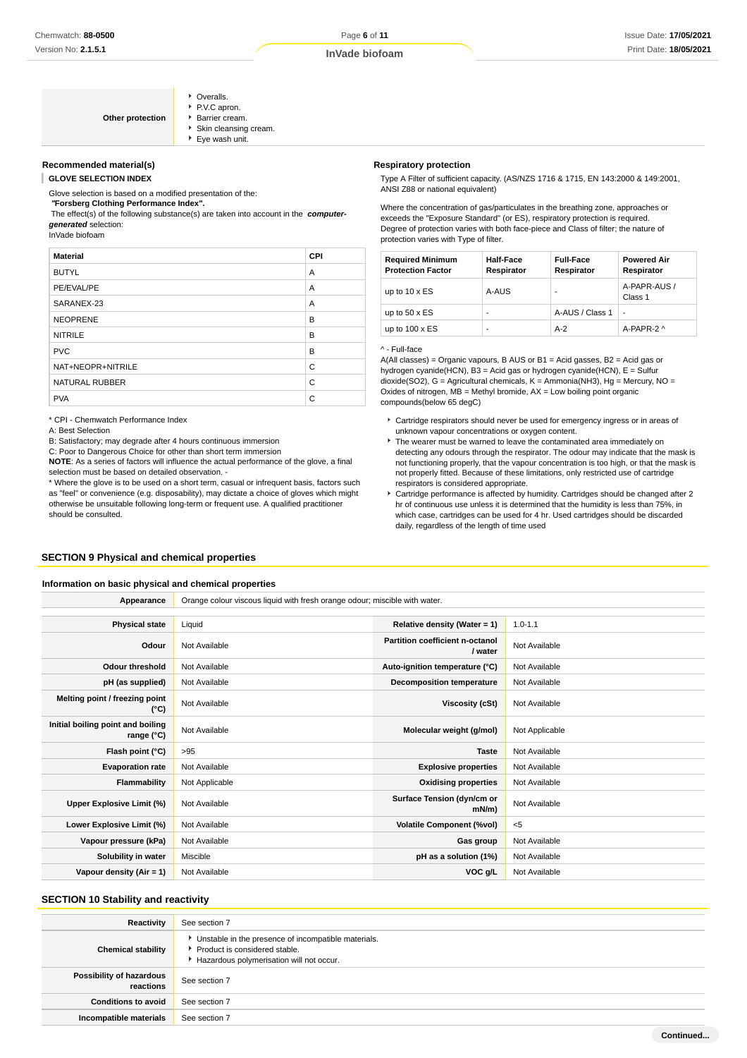|      | • Overalls.          |
|------|----------------------|
| tion | P.V.C apron.         |
|      | ▶ Barrier cream.     |
|      | Skin cleansing cream |
|      | Eye wash unit.       |
|      |                      |

#### **Recommended material(s)**

**GLOVE SELECTION INDEX**

Glove selection is based on a modified presentation of the:

#### **"Forsberg Clothing Performance Index".**

**Other protec** 

 The effect(s) of the following substance(s) are taken into account in the **computergenerated** selection:

InVade biofoam

| <b>Material</b>       | CPI |
|-----------------------|-----|
| <b>BUTYL</b>          | A   |
| PE/EVAL/PE            | A   |
| SARANEX-23            | A   |
| <b>NEOPRENE</b>       | B   |
| <b>NITRILE</b>        | B   |
| <b>PVC</b>            | B   |
| NAT+NEOPR+NITRILE     | C   |
| <b>NATURAL RUBBER</b> | C   |
| <b>PVA</b>            | C   |

\* CPI - Chemwatch Performance Index

A: Best Selection

B: Satisfactory; may degrade after 4 hours continuous immersion

C: Poor to Dangerous Choice for other than short term immersion

**NOTE**: As a series of factors will influence the actual performance of the glove, a final selection must be based on detailed observation. -

\* Where the glove is to be used on a short term, casual or infrequent basis, factors such as "feel" or convenience (e.g. disposability), may dictate a choice of gloves which might otherwise be unsuitable following long-term or frequent use. A qualified practitioner should be consulted.

### **SECTION 9 Physical and chemical properties**

#### **Information on basic physical and chemical properties**

#### **Respiratory protection**

Type A Filter of sufficient capacity. (AS/NZS 1716 & 1715, EN 143:2000 & 149:2001, ANSI Z88 or national equivalent)

Where the concentration of gas/particulates in the breathing zone, approaches or exceeds the "Exposure Standard" (or ES), respiratory protection is required. Degree of protection varies with both face-piece and Class of filter; the nature of protection varies with Type of filter.

| <b>Required Minimum</b><br><b>Protection Factor</b> | <b>Half-Face</b><br>Respirator | <b>Full-Face</b><br>Respirator | <b>Powered Air</b><br>Respirator |
|-----------------------------------------------------|--------------------------------|--------------------------------|----------------------------------|
| up to $10 \times ES$                                | A-AUS                          |                                | A-PAPR-AUS /<br>Class 1          |
| up to $50 \times ES$                                | -                              | A-AUS / Class 1                | $\overline{a}$                   |
| up to $100 \times ES$                               | -                              | $A-2$                          | A-PAPR-2 ^                       |

^ - Full-face

A(All classes) = Organic vapours, B AUS or B1 = Acid gasses, B2 = Acid gas or hydrogen cyanide(HCN), B3 = Acid gas or hydrogen cyanide(HCN), E = Sulfur dioxide(SO2), G = Agricultural chemicals, K = Ammonia(NH3), Hg = Mercury, NO = Oxides of nitrogen,  $MB =$  Methyl bromide,  $AX =$  Low boiling point organic compounds(below 65 degC)

- Cartridge respirators should never be used for emergency ingress or in areas of unknown vapour concentrations or oxygen content.
- The wearer must be warned to leave the contaminated area immediately on detecting any odours through the respirator. The odour may indicate that the mask is not functioning properly, that the vapour concentration is too high, or that the mask is not properly fitted. Because of these limitations, only restricted use of cartridge respirators is considered appropriate.
- Cartridge performance is affected by humidity. Cartridges should be changed after 2 hr of continuous use unless it is determined that the humidity is less than 75%, in which case, cartridges can be used for 4 hr. Used cartridges should be discarded daily, regardless of the length of time used

| Appearance                                               | Orange colour viscous liquid with fresh orange odour; miscible with water. |                                            |                |  |  |
|----------------------------------------------------------|----------------------------------------------------------------------------|--------------------------------------------|----------------|--|--|
|                                                          |                                                                            |                                            |                |  |  |
| <b>Physical state</b>                                    | Liquid                                                                     | Relative density (Water = 1)               | $1.0 - 1.1$    |  |  |
| Odour                                                    | Not Available                                                              | Partition coefficient n-octanol<br>/ water | Not Available  |  |  |
| <b>Odour threshold</b>                                   | Not Available                                                              | Auto-ignition temperature (°C)             | Not Available  |  |  |
| pH (as supplied)                                         | Not Available                                                              | <b>Decomposition temperature</b>           | Not Available  |  |  |
| Melting point / freezing point<br>(°C)                   | Not Available                                                              | Viscosity (cSt)                            | Not Available  |  |  |
| Initial boiling point and boiling<br>range $(^{\circ}C)$ | Not Available                                                              | Molecular weight (g/mol)                   | Not Applicable |  |  |
| Flash point (°C)                                         | >95                                                                        | <b>Taste</b>                               | Not Available  |  |  |
| <b>Evaporation rate</b>                                  | Not Available                                                              | <b>Explosive properties</b>                | Not Available  |  |  |
| Flammability                                             | Not Applicable                                                             | <b>Oxidising properties</b>                | Not Available  |  |  |
| Upper Explosive Limit (%)                                | Not Available                                                              | Surface Tension (dyn/cm or<br>$mN/m$ )     | Not Available  |  |  |
| Lower Explosive Limit (%)                                | Not Available                                                              | <b>Volatile Component (%vol)</b>           | $<$ 5          |  |  |
| Vapour pressure (kPa)                                    | Not Available                                                              | Gas group                                  | Not Available  |  |  |
| Solubility in water                                      | Miscible                                                                   | pH as a solution (1%)                      | Not Available  |  |  |
| Vapour density $(Air = 1)$                               | Not Available                                                              | VOC g/L                                    | Not Available  |  |  |
|                                                          |                                                                            |                                            |                |  |  |

### **SECTION 10 Stability and reactivity**

| Reactivity                            | See section 7                                                                                                                        |
|---------------------------------------|--------------------------------------------------------------------------------------------------------------------------------------|
| <b>Chemical stability</b>             | • Unstable in the presence of incompatible materials.<br>▶ Product is considered stable.<br>Hazardous polymerisation will not occur. |
| Possibility of hazardous<br>reactions | See section 7                                                                                                                        |
| <b>Conditions to avoid</b>            | See section 7                                                                                                                        |
| Incompatible materials                | See section 7                                                                                                                        |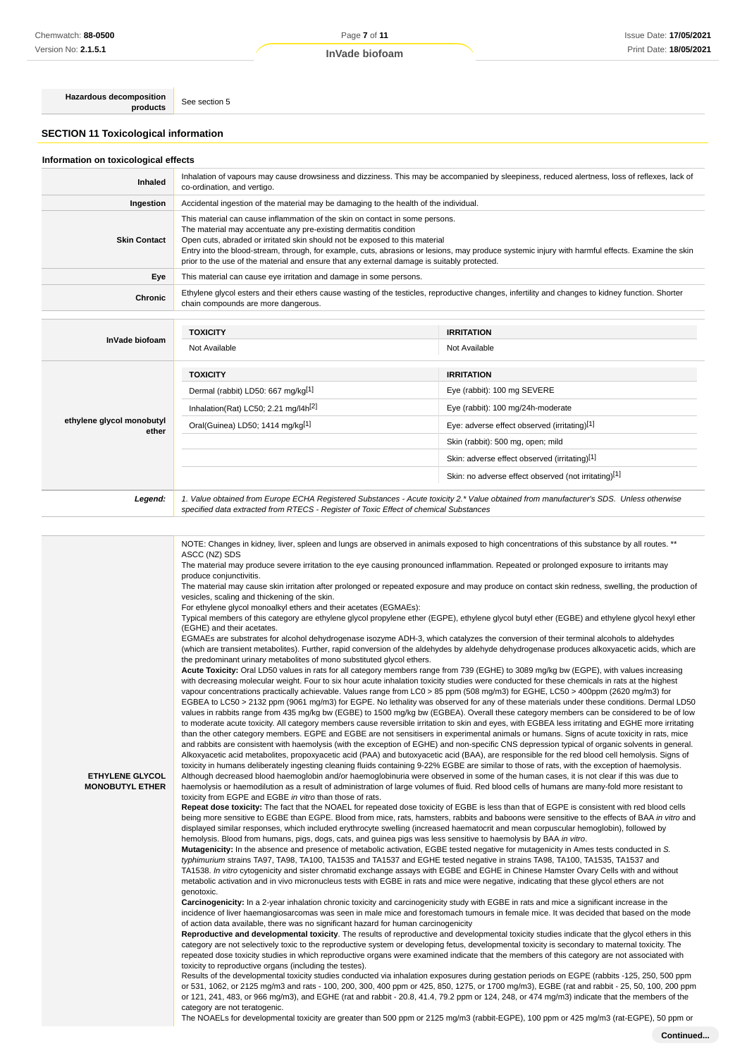**Hazardous decomposition**<br> **products** See section 5

## **SECTION 11 Toxicological information**

## **Information on toxicological effects**

| Inhaled                            | Inhalation of vapours may cause drowsiness and dizziness. This may be accompanied by sleepiness, reduced alertness, loss of reflexes, lack of<br>co-ordination, and vertigo.                                                                                                                                                                                                                                                                                                         |                                                                                                                                                   |  |  |  |  |
|------------------------------------|--------------------------------------------------------------------------------------------------------------------------------------------------------------------------------------------------------------------------------------------------------------------------------------------------------------------------------------------------------------------------------------------------------------------------------------------------------------------------------------|---------------------------------------------------------------------------------------------------------------------------------------------------|--|--|--|--|
| Ingestion                          | Accidental ingestion of the material may be damaging to the health of the individual.                                                                                                                                                                                                                                                                                                                                                                                                |                                                                                                                                                   |  |  |  |  |
| <b>Skin Contact</b>                | This material can cause inflammation of the skin on contact in some persons.<br>The material may accentuate any pre-existing dermatitis condition<br>Open cuts, abraded or irritated skin should not be exposed to this material<br>Entry into the blood-stream, through, for example, cuts, abrasions or lesions, may produce systemic injury with harmful effects. Examine the skin<br>prior to the use of the material and ensure that any external damage is suitably protected. |                                                                                                                                                   |  |  |  |  |
| Eye                                | This material can cause eye irritation and damage in some persons.                                                                                                                                                                                                                                                                                                                                                                                                                   |                                                                                                                                                   |  |  |  |  |
| Chronic                            | chain compounds are more dangerous.                                                                                                                                                                                                                                                                                                                                                                                                                                                  | Ethylene glycol esters and their ethers cause wasting of the testicles, reproductive changes, infertility and changes to kidney function. Shorter |  |  |  |  |
|                                    |                                                                                                                                                                                                                                                                                                                                                                                                                                                                                      |                                                                                                                                                   |  |  |  |  |
|                                    | <b>TOXICITY</b>                                                                                                                                                                                                                                                                                                                                                                                                                                                                      | <b>IRRITATION</b>                                                                                                                                 |  |  |  |  |
| InVade biofoam                     | Not Available                                                                                                                                                                                                                                                                                                                                                                                                                                                                        | Not Available                                                                                                                                     |  |  |  |  |
|                                    | <b>TOXICITY</b>                                                                                                                                                                                                                                                                                                                                                                                                                                                                      | <b>IRRITATION</b>                                                                                                                                 |  |  |  |  |
|                                    | Dermal (rabbit) LD50: 667 mg/kg[1]                                                                                                                                                                                                                                                                                                                                                                                                                                                   | Eye (rabbit): 100 mg SEVERE                                                                                                                       |  |  |  |  |
|                                    | Inhalation(Rat) LC50; 2.21 mg/l4h <sup>[2]</sup>                                                                                                                                                                                                                                                                                                                                                                                                                                     | Eye (rabbit): 100 mg/24h-moderate                                                                                                                 |  |  |  |  |
| ethylene glycol monobutyl<br>ether | Oral(Guinea) LD50; 1414 mg/kg[1]                                                                                                                                                                                                                                                                                                                                                                                                                                                     | Eye: adverse effect observed (irritating)[1]                                                                                                      |  |  |  |  |
|                                    |                                                                                                                                                                                                                                                                                                                                                                                                                                                                                      | Skin (rabbit): 500 mg, open; mild                                                                                                                 |  |  |  |  |
|                                    |                                                                                                                                                                                                                                                                                                                                                                                                                                                                                      | Skin: adverse effect observed (irritating)[1]                                                                                                     |  |  |  |  |
|                                    |                                                                                                                                                                                                                                                                                                                                                                                                                                                                                      | Skin: no adverse effect observed (not irritating)[1]                                                                                              |  |  |  |  |
| Legend:                            | 1. Value obtained from Europe ECHA Registered Substances - Acute toxicity 2.* Value obtained from manufacturer's SDS. Unless otherwise<br>specified data extracted from RTECS - Register of Toxic Effect of chemical Substances                                                                                                                                                                                                                                                      |                                                                                                                                                   |  |  |  |  |

|                        | NOTE: Changes in kidney, liver, spleen and lungs are observed in animals exposed to high concentrations of this substance by all routes. **                                                                                                                                                 |
|------------------------|---------------------------------------------------------------------------------------------------------------------------------------------------------------------------------------------------------------------------------------------------------------------------------------------|
|                        | ASCC (NZ) SDS<br>The material may produce severe irritation to the eye causing pronounced inflammation. Repeated or prolonged exposure to irritants may                                                                                                                                     |
|                        | produce conjunctivitis.                                                                                                                                                                                                                                                                     |
|                        | The material may cause skin irritation after prolonged or repeated exposure and may produce on contact skin redness, swelling, the production of                                                                                                                                            |
|                        | vesicles, scaling and thickening of the skin.                                                                                                                                                                                                                                               |
|                        | For ethylene glycol monoalkyl ethers and their acetates (EGMAEs):                                                                                                                                                                                                                           |
|                        | Typical members of this category are ethylene glycol propylene ether (EGPE), ethylene glycol butyl ether (EGBE) and ethylene glycol hexyl ether                                                                                                                                             |
|                        | (EGHE) and their acetates.                                                                                                                                                                                                                                                                  |
|                        | EGMAEs are substrates for alcohol dehydrogenase isozyme ADH-3, which catalyzes the conversion of their terminal alcohols to aldehydes                                                                                                                                                       |
|                        | (which are transient metabolites). Further, rapid conversion of the aldehydes by aldehyde dehydrogenase produces alkoxyacetic acids, which are                                                                                                                                              |
|                        | the predominant urinary metabolites of mono substituted glycol ethers.<br>Acute Toxicity: Oral LD50 values in rats for all category members range from 739 (EGHE) to 3089 mg/kg bw (EGPE), with values increasing                                                                           |
|                        | with decreasing molecular weight. Four to six hour acute inhalation toxicity studies were conducted for these chemicals in rats at the highest                                                                                                                                              |
|                        | vapour concentrations practically achievable. Values range from LC0 > 85 ppm (508 mg/m3) for EGHE, LC50 > 400ppm (2620 mg/m3) for                                                                                                                                                           |
|                        | EGBEA to LC50 > 2132 ppm (9061 mg/m3) for EGPE. No lethality was observed for any of these materials under these conditions. Dermal LD50                                                                                                                                                    |
|                        | values in rabbits range from 435 mg/kg bw (EGBE) to 1500 mg/kg bw (EGBEA). Overall these category members can be considered to be of low                                                                                                                                                    |
|                        | to moderate acute toxicity. All category members cause reversible irritation to skin and eyes, with EGBEA less irritating and EGHE more irritating                                                                                                                                          |
|                        | than the other category members. EGPE and EGBE are not sensitisers in experimental animals or humans. Signs of acute toxicity in rats, mice                                                                                                                                                 |
|                        | and rabbits are consistent with haemolysis (with the exception of EGHE) and non-specific CNS depression typical of organic solvents in general.                                                                                                                                             |
|                        | Alkoxyacetic acid metabolites, propoxyacetic acid (PAA) and butoxyacetic acid (BAA), are responsible for the red blood cell hemolysis. Signs of                                                                                                                                             |
| ETHYLENE GLYCOL        | toxicity in humans deliberately ingesting cleaning fluids containing 9-22% EGBE are similar to those of rats, with the exception of haemolysis.<br>Although decreased blood haemoglobin and/or haemoglobinuria were observed in some of the human cases, it is not clear if this was due to |
| <b>MONOBUTYL ETHER</b> | haemolysis or haemodilution as a result of administration of large volumes of fluid. Red blood cells of humans are many-fold more resistant to                                                                                                                                              |
|                        | toxicity from EGPE and EGBE in vitro than those of rats.                                                                                                                                                                                                                                    |
|                        | Repeat dose toxicity: The fact that the NOAEL for repeated dose toxicity of EGBE is less than that of EGPE is consistent with red blood cells                                                                                                                                               |
|                        | being more sensitive to EGBE than EGPE. Blood from mice, rats, hamsters, rabbits and baboons were sensitive to the effects of BAA in vitro and                                                                                                                                              |
|                        | displayed similar responses, which included erythrocyte swelling (increased haematocrit and mean corpuscular hemoglobin), followed by                                                                                                                                                       |
|                        | hemolysis. Blood from humans, pigs, dogs, cats, and guinea pigs was less sensitive to haemolysis by BAA in vitro.                                                                                                                                                                           |
|                        | Mutagenicity: In the absence and presence of metabolic activation, EGBE tested negative for mutagenicity in Ames tests conducted in S.                                                                                                                                                      |
|                        | typhimurium strains TA97, TA98, TA100, TA1535 and TA1537 and EGHE tested negative in strains TA98, TA100, TA1535, TA1537 and                                                                                                                                                                |
|                        | TA1538. In vitro cytogenicity and sister chromatid exchange assays with EGBE and EGHE in Chinese Hamster Ovary Cells with and without<br>metabolic activation and in vivo micronucleus tests with EGBE in rats and mice were negative, indicating that these glycol ethers are not          |
|                        | genotoxic.                                                                                                                                                                                                                                                                                  |
|                        | Carcinogenicity: In a 2-year inhalation chronic toxicity and carcinogenicity study with EGBE in rats and mice a significant increase in the                                                                                                                                                 |
|                        | incidence of liver haemangiosarcomas was seen in male mice and forestomach tumours in female mice. It was decided that based on the mode                                                                                                                                                    |
|                        | of action data available, there was no significant hazard for human carcinogenicity                                                                                                                                                                                                         |
|                        | Reproductive and developmental toxicity. The results of reproductive and developmental toxicity studies indicate that the glycol ethers in this                                                                                                                                             |
|                        | category are not selectively toxic to the reproductive system or developing fetus, developmental toxicity is secondary to maternal toxicity. The                                                                                                                                            |
|                        | repeated dose toxicity studies in which reproductive organs were examined indicate that the members of this category are not associated with<br>toxicity to reproductive organs (including the testes).                                                                                     |
|                        | Results of the developmental toxicity studies conducted via inhalation exposures during gestation periods on EGPE (rabbits -125, 250, 500 ppm                                                                                                                                               |
|                        | or 531, 1062, or 2125 mg/m3 and rats - 100, 200, 300, 400 ppm or 425, 850, 1275, or 1700 mg/m3), EGBE (rat and rabbit - 25, 50, 100, 200 ppm                                                                                                                                                |
|                        | or 121, 241, 483, or 966 mg/m3), and EGHE (rat and rabbit - 20.8, 41.4, 79.2 ppm or 124, 248, or 474 mg/m3) indicate that the members of the                                                                                                                                                |
|                        | category are not teratogenic.                                                                                                                                                                                                                                                               |
|                        | The NOAELs for developmental toxicity are greater than 500 ppm or 2125 mg/m3 (rabbit-EGPE), 100 ppm or 425 mg/m3 (rat-EGPE), 50 ppm or                                                                                                                                                      |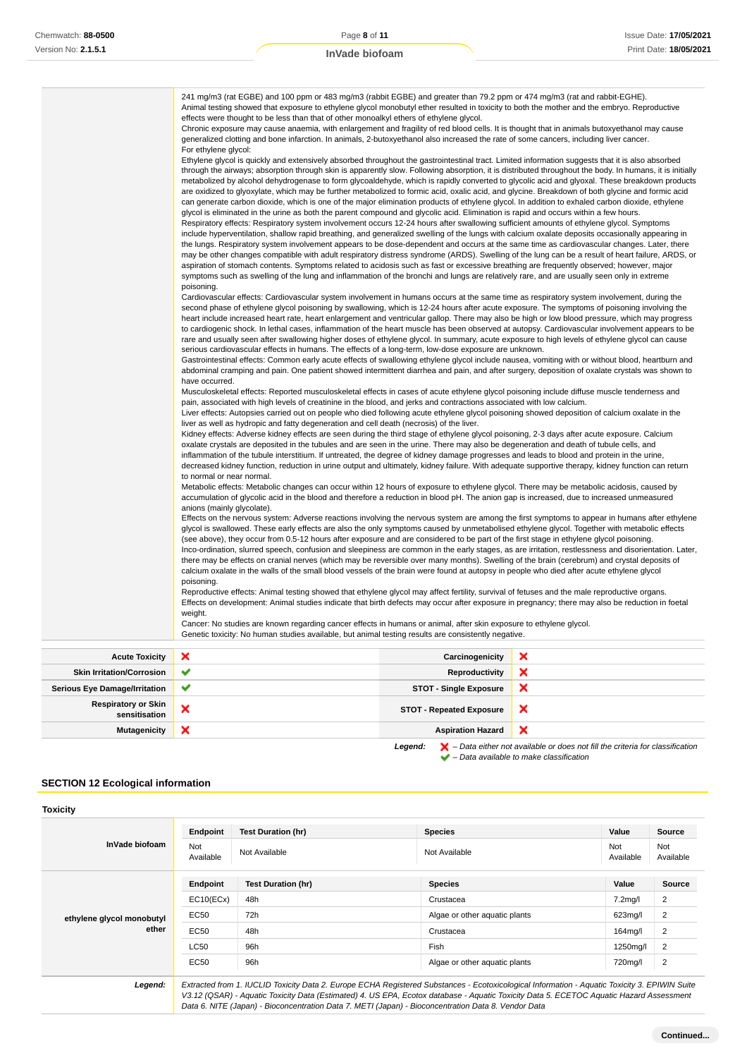| 241 mg/m3 (rat EGBE) and 100 ppm or 483 mg/m3 (rabbit EGBE) and greater than 79.2 ppm or 474 mg/m3 (rat and rabbit-EGHE).<br>Animal testing showed that exposure to ethylene glycol monobutyl ether resulted in toxicity to both the mother and the embryo. Reproductive<br>effects were thought to be less than that of other monoalkyl ethers of ethylene glycol.                                                                                                                                                                                                                                                                                                                                                                                                                                                                                    |
|--------------------------------------------------------------------------------------------------------------------------------------------------------------------------------------------------------------------------------------------------------------------------------------------------------------------------------------------------------------------------------------------------------------------------------------------------------------------------------------------------------------------------------------------------------------------------------------------------------------------------------------------------------------------------------------------------------------------------------------------------------------------------------------------------------------------------------------------------------|
| Chronic exposure may cause anaemia, with enlargement and fragility of red blood cells. It is thought that in animals butoxyethanol may cause<br>generalized clotting and bone infarction. In animals, 2-butoxyethanol also increased the rate of some cancers, including liver cancer.<br>For ethylene glycol:                                                                                                                                                                                                                                                                                                                                                                                                                                                                                                                                         |
| Ethylene glycol is quickly and extensively absorbed throughout the gastrointestinal tract. Limited information suggests that it is also absorbed<br>through the airways; absorption through skin is apparently slow. Following absorption, it is distributed throughout the body. In humans, it is initially<br>metabolized by alcohol dehydrogenase to form glycoaldehyde, which is rapidly converted to glycolic acid and glyoxal. These breakdown products<br>are oxidized to glyoxylate, which may be further metabolized to formic acid, oxalic acid, and glycine. Breakdown of both glycine and formic acid<br>can generate carbon dioxide, which is one of the major elimination products of ethylene glycol. In addition to exhaled carbon dioxide, ethylene                                                                                   |
| glycol is eliminated in the urine as both the parent compound and glycolic acid. Elimination is rapid and occurs within a few hours.<br>Respiratory effects: Respiratory system involvement occurs 12-24 hours after swallowing sufficient amounts of ethylene glycol. Symptoms                                                                                                                                                                                                                                                                                                                                                                                                                                                                                                                                                                        |
| include hyperventilation, shallow rapid breathing, and generalized swelling of the lungs with calcium oxalate deposits occasionally appearing in<br>the lungs. Respiratory system involvement appears to be dose-dependent and occurs at the same time as cardiovascular changes. Later, there<br>may be other changes compatible with adult respiratory distress syndrome (ARDS). Swelling of the lung can be a result of heart failure, ARDS, or<br>aspiration of stomach contents. Symptoms related to acidosis such as fast or excessive breathing are frequently observed; however, major<br>symptoms such as swelling of the lung and inflammation of the bronchi and lungs are relatively rare, and are usually seen only in extreme<br>poisoning.                                                                                              |
| Cardiovascular effects: Cardiovascular system involvement in humans occurs at the same time as respiratory system involvement, during the<br>second phase of ethylene glycol poisoning by swallowing, which is 12-24 hours after acute exposure. The symptoms of poisoning involving the<br>heart include increased heart rate, heart enlargement and ventricular gallop. There may also be high or low blood pressure, which may progress<br>to cardiogenic shock. In lethal cases, inflammation of the heart muscle has been observed at autopsy. Cardiovascular involvement appears to be<br>rare and usually seen after swallowing higher doses of ethylene glycol. In summary, acute exposure to high levels of ethylene glycol can cause<br>serious cardiovascular effects in humans. The effects of a long-term, low-dose exposure are unknown. |
| Gastrointestinal effects: Common early acute effects of swallowing ethylene glycol include nausea, vomiting with or without blood, heartburn and<br>abdominal cramping and pain. One patient showed intermittent diarrhea and pain, and after surgery, deposition of oxalate crystals was shown to<br>have occurred.                                                                                                                                                                                                                                                                                                                                                                                                                                                                                                                                   |
| Musculoskeletal effects: Reported musculoskeletal effects in cases of acute ethylene glycol poisoning include diffuse muscle tenderness and<br>pain, associated with high levels of creatinine in the blood, and jerks and contractions associated with low calcium.                                                                                                                                                                                                                                                                                                                                                                                                                                                                                                                                                                                   |
| Liver effects: Autopsies carried out on people who died following acute ethylene glycol poisoning showed deposition of calcium oxalate in the<br>liver as well as hydropic and fatty degeneration and cell death (necrosis) of the liver.                                                                                                                                                                                                                                                                                                                                                                                                                                                                                                                                                                                                              |
| Kidney effects: Adverse kidney effects are seen during the third stage of ethylene glycol poisoning, 2-3 days after acute exposure. Calcium<br>oxalate crystals are deposited in the tubules and are seen in the urine. There may also be degeneration and death of tubule cells, and<br>inflammation of the tubule interstitium. If untreated, the degree of kidney damage progresses and leads to blood and protein in the urine,<br>decreased kidney function, reduction in urine output and ultimately, kidney failure. With adequate supportive therapy, kidney function can return<br>to normal or near normal.                                                                                                                                                                                                                                  |
| Metabolic effects: Metabolic changes can occur within 12 hours of exposure to ethylene glycol. There may be metabolic acidosis, caused by<br>accumulation of glycolic acid in the blood and therefore a reduction in blood pH. The anion gap is increased, due to increased unmeasured<br>anions (mainly glycolate).                                                                                                                                                                                                                                                                                                                                                                                                                                                                                                                                   |
| Effects on the nervous system: Adverse reactions involving the nervous system are among the first symptoms to appear in humans after ethylene<br>glycol is swallowed. These early effects are also the only symptoms caused by unmetabolised ethylene glycol. Together with metabolic effects<br>(see above), they occur from 0.5-12 hours after exposure and are considered to be part of the first stage in ethylene glycol poisoning.                                                                                                                                                                                                                                                                                                                                                                                                               |
| Inco-ordination, slurred speech, confusion and sleepiness are common in the early stages, as are irritation, restlessness and disorientation. Later,<br>there may be effects on cranial nerves (which may be reversible over many months). Swelling of the brain (cerebrum) and crystal deposits of<br>calcium oxalate in the walls of the small blood vessels of the brain were found at autopsy in people who died after acute ethylene glycol<br>poisoning.                                                                                                                                                                                                                                                                                                                                                                                         |
| Reproductive effects: Animal testing showed that ethylene glycol may affect fertility, survival of fetuses and the male reproductive organs.<br>Effects on development: Animal studies indicate that birth defects may occur after exposure in pregnancy; there may also be reduction in foetal<br>weight.                                                                                                                                                                                                                                                                                                                                                                                                                                                                                                                                             |
| Cancer: No studies are known regarding cancer effects in humans or animal, after skin exposure to ethylene glycol.<br>Genetic toxicity: No human studies available, but animal testing results are consistently negative.                                                                                                                                                                                                                                                                                                                                                                                                                                                                                                                                                                                                                              |

| <b>Acute Toxicity</b>                       | $\boldsymbol{\mathsf{x}}$ | Carcinogenicity                 | ×                                                                                                  |
|---------------------------------------------|---------------------------|---------------------------------|----------------------------------------------------------------------------------------------------|
| <b>Skin Irritation/Corrosion</b>            | $\checkmark$              | Reproductivity                  | ×                                                                                                  |
| <b>Serious Eye Damage/Irritation</b>        | $\checkmark$              | <b>STOT - Single Exposure</b>   | ×                                                                                                  |
| <b>Respiratory or Skin</b><br>sensitisation | ×                         | <b>STOT - Repeated Exposure</b> | ×                                                                                                  |
| <b>Mutagenicity</b>                         | ×                         | <b>Aspiration Hazard</b>        | ×                                                                                                  |
|                                             |                           | Legend:                         | $\blacktriangleright$ - Data either not available or does not fill the criteria for classification |

 $\blacktriangleright$  – Data available to make classification

## **SECTION 12 Ecological information**

| Endpoint                | <b>Test Duration (hr)</b> | <b>Species</b>                | Value                | <b>Source</b>    |
|-------------------------|---------------------------|-------------------------------|----------------------|------------------|
| <b>Not</b><br>Available | Not Available             | Not Available                 | Not<br>Available     | Not<br>Available |
| Endpoint                | <b>Test Duration (hr)</b> | <b>Species</b>                | Value                | Source           |
| EC10(ECx)               | 48h                       | Crustacea                     | 7.2 <sub>mq</sub> /l | 2                |
| <b>EC50</b>             | 72h                       | Algae or other aquatic plants | 623mg/l              | 2                |
| <b>EC50</b>             | 48h                       | Crustacea                     | 164mg/l              | 2                |
| <b>LC50</b>             | 96h                       | Fish                          | 1250mg/l             | 2                |
| EC50                    | 96h                       | Algae or other aguatic plants | 720mg/l              | 2                |
|                         |                           |                               |                      |                  |

Data 6. NITE (Japan) - Bioconcentration Data 7. METI (Japan) - Bioconcentration Data 8. Vendor Data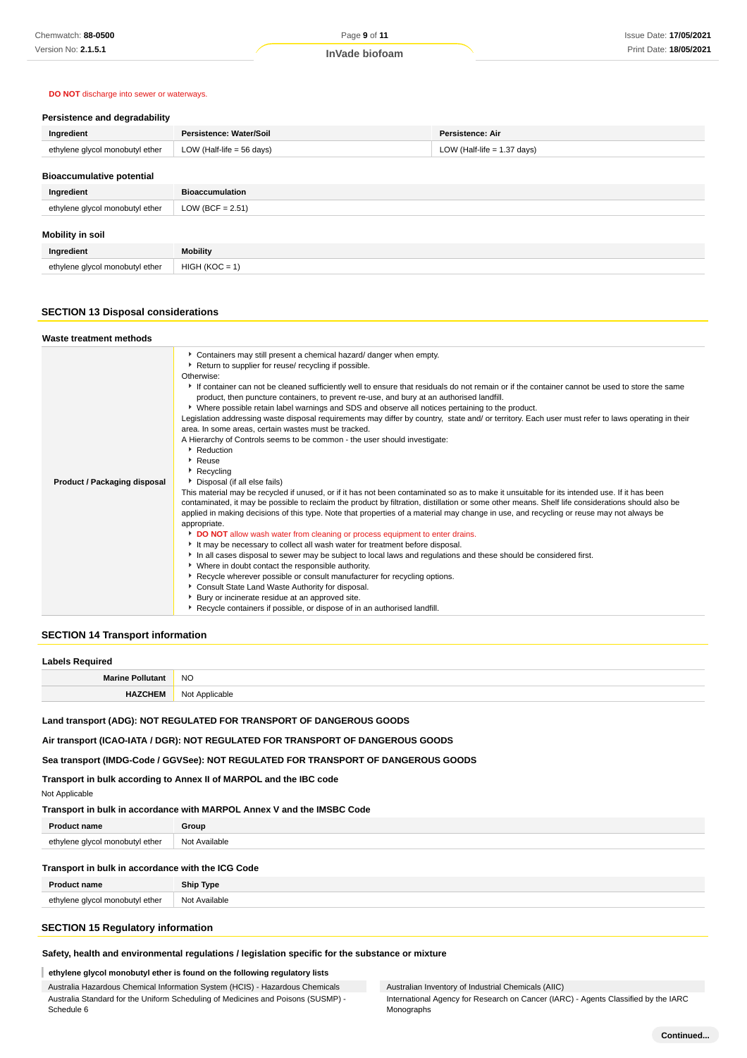### **DO NOT** discharge into sewer or waterways.

## **Persistence and degradability**

| Ingredient                       | Persistence: Water/Soil   | Persistence: Air              |
|----------------------------------|---------------------------|-------------------------------|
| ethylene glycol monobutyl ether  | LOW (Half-life = 56 days) | LOW (Half-life $= 1.37$ days) |
| <b>Bioaccumulative potential</b> |                           |                               |
|                                  |                           |                               |

| Ingredient                      | <b>Bioaccumulation</b> |
|---------------------------------|------------------------|
| ethylene glycol monobutyl ether | LOW (BCF = $2.51$ )    |
| Mobility in soil                |                        |
| Ingredient                      | <b>Mobility</b>        |
| ethylene glycol monobutyl ether | $HIGH (KOC = 1)$       |

## **SECTION 13 Disposal considerations**

| Waste treatment methods             |                                                                                                                                                                                                                                                                                                                                                                                                                                                                                                                                                                                                                                                                                                                                                                                                                                                                                                                                                                                                                                                                                                                                                                                                                                                                                                                                                                                                                                                                                                                                                                                                                                                                                                                                                                                                                                                                                                                                                                  |
|-------------------------------------|------------------------------------------------------------------------------------------------------------------------------------------------------------------------------------------------------------------------------------------------------------------------------------------------------------------------------------------------------------------------------------------------------------------------------------------------------------------------------------------------------------------------------------------------------------------------------------------------------------------------------------------------------------------------------------------------------------------------------------------------------------------------------------------------------------------------------------------------------------------------------------------------------------------------------------------------------------------------------------------------------------------------------------------------------------------------------------------------------------------------------------------------------------------------------------------------------------------------------------------------------------------------------------------------------------------------------------------------------------------------------------------------------------------------------------------------------------------------------------------------------------------------------------------------------------------------------------------------------------------------------------------------------------------------------------------------------------------------------------------------------------------------------------------------------------------------------------------------------------------------------------------------------------------------------------------------------------------|
| <b>Product / Packaging disposal</b> | Containers may still present a chemical hazard/ danger when empty.<br>Return to supplier for reuse/ recycling if possible.<br>Otherwise:<br>If container can not be cleaned sufficiently well to ensure that residuals do not remain or if the container cannot be used to store the same<br>product, then puncture containers, to prevent re-use, and bury at an authorised landfill.<br>▶ Where possible retain label warnings and SDS and observe all notices pertaining to the product.<br>Legislation addressing waste disposal requirements may differ by country, state and/ or territory. Each user must refer to laws operating in their<br>area. In some areas, certain wastes must be tracked.<br>A Hierarchy of Controls seems to be common - the user should investigate:<br>Reduction<br>▶ Reuse<br>$\triangleright$ Recycling<br>Disposal (if all else fails)<br>This material may be recycled if unused, or if it has not been contaminated so as to make it unsuitable for its intended use. If it has been<br>contaminated, it may be possible to reclaim the product by filtration, distillation or some other means. Shelf life considerations should also be<br>applied in making decisions of this type. Note that properties of a material may change in use, and recycling or reuse may not always be<br>appropriate.<br><b>DO NOT</b> allow wash water from cleaning or process equipment to enter drains.<br>It may be necessary to collect all wash water for treatment before disposal.<br>In all cases disposal to sewer may be subject to local laws and regulations and these should be considered first.<br>• Where in doubt contact the responsible authority.<br>▶ Recycle wherever possible or consult manufacturer for recycling options.<br>Consult State Land Waste Authority for disposal.<br>Bury or incinerate residue at an approved site.<br>Recycle containers if possible, or dispose of in an authorised landfill. |

#### **SECTION 14 Transport information**

#### **Labels Required**

|    | <b>NO</b> |
|----|-----------|
| ᆧᄄ | <b>No</b> |
| ы. | Annuaghi  |
|    | u.        |

## **Land transport (ADG): NOT REGULATED FOR TRANSPORT OF DANGEROUS GOODS**

**Air transport (ICAO-IATA / DGR): NOT REGULATED FOR TRANSPORT OF DANGEROUS GOODS**

## **Sea transport (IMDG-Code / GGVSee): NOT REGULATED FOR TRANSPORT OF DANGEROUS GOODS**

## **Transport in bulk according to Annex II of MARPOL and the IBC code**

| Not Applicable |  |
|----------------|--|
|----------------|--|

## **Transport in bulk in accordance with MARPOL Annex V and the IMSBC Code**

| <b>Product name</b>             | Group         |
|---------------------------------|---------------|
| ethylene glycol monobutyl ether | Not Available |
|                                 |               |

## **Transport in bulk in accordance with the ICG Code**

| <b>Product name</b>             | Ship Type     |
|---------------------------------|---------------|
| ethylene glycol monobutyl ether | Not Available |

## **SECTION 15 Regulatory information**

## **Safety, health and environmental regulations / legislation specific for the substance or mixture**

## **ethylene glycol monobutyl ether is found on the following regulatory lists**

Australia Hazardous Chemical Information System (HCIS) - Hazardous Chemicals Australia Standard for the Uniform Scheduling of Medicines and Poisons (SUSMP) - Schedule 6

Australian Inventory of Industrial Chemicals (AIIC)

International Agency for Research on Cancer (IARC) - Agents Classified by the IARC Monographs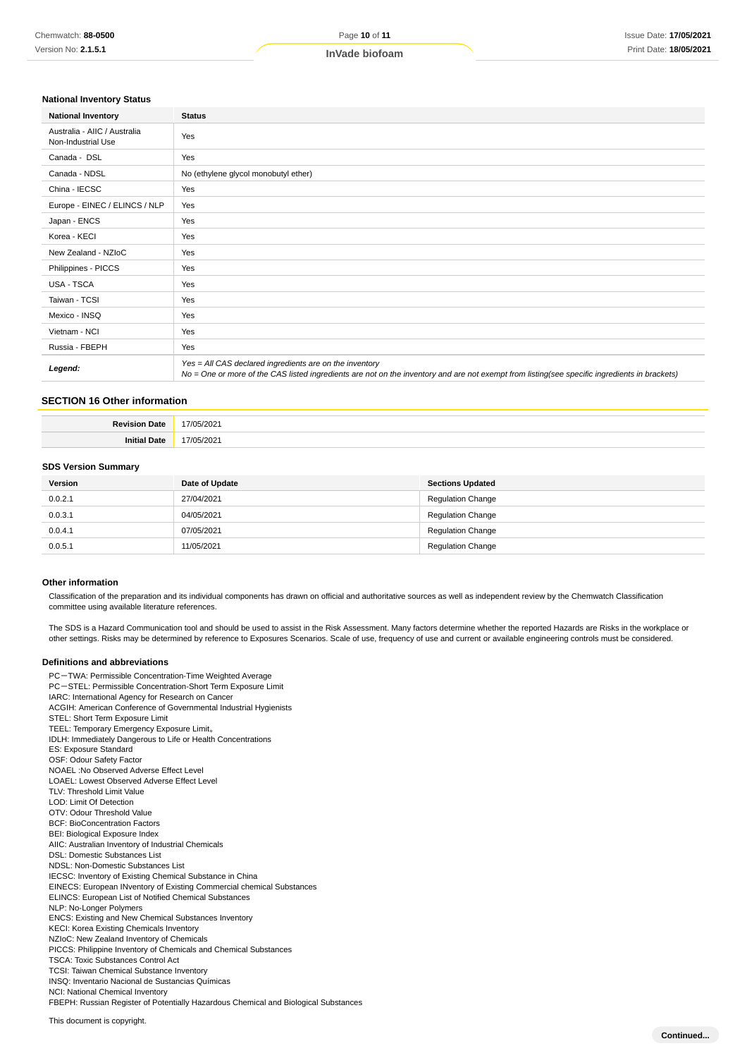## **National Inventory Status**

| <b>National Inventory</b>                          | <b>Status</b>                                                                                                                                                                                            |
|----------------------------------------------------|----------------------------------------------------------------------------------------------------------------------------------------------------------------------------------------------------------|
| Australia - AIIC / Australia<br>Non-Industrial Use | Yes                                                                                                                                                                                                      |
| Canada - DSL                                       | Yes                                                                                                                                                                                                      |
| Canada - NDSL                                      | No (ethylene glycol monobutyl ether)                                                                                                                                                                     |
| China - IECSC                                      | Yes                                                                                                                                                                                                      |
| Europe - EINEC / ELINCS / NLP                      | Yes                                                                                                                                                                                                      |
| Japan - ENCS                                       | Yes                                                                                                                                                                                                      |
| Korea - KECI                                       | Yes                                                                                                                                                                                                      |
| New Zealand - NZIoC                                | Yes                                                                                                                                                                                                      |
| Philippines - PICCS                                | Yes                                                                                                                                                                                                      |
| <b>USA - TSCA</b>                                  | Yes                                                                                                                                                                                                      |
| Taiwan - TCSI                                      | Yes                                                                                                                                                                                                      |
| Mexico - INSQ                                      | Yes                                                                                                                                                                                                      |
| Vietnam - NCI                                      | Yes                                                                                                                                                                                                      |
| Russia - FBEPH                                     | Yes                                                                                                                                                                                                      |
| Legend:                                            | Yes = All CAS declared ingredients are on the inventory<br>No = One or more of the CAS listed ingredients are not on the inventory and are not exempt from listing(see specific ingredients in brackets) |

## **SECTION 16 Other information**

| <b>Revision Date</b> | 202 <sup>1</sup> |
|----------------------|------------------|
| Dot.                 | ⊇∩≏<br>174       |

### **SDS Version Summary**

| Version | Date of Update | <b>Sections Updated</b>  |
|---------|----------------|--------------------------|
| 0.0.2.1 | 27/04/2021     | <b>Regulation Change</b> |
| 0.0.3.1 | 04/05/2021     | <b>Regulation Change</b> |
| 0.0.4.1 | 07/05/2021     | <b>Regulation Change</b> |
| 0.0.5.1 | 11/05/2021     | <b>Regulation Change</b> |

#### **Other information**

Classification of the preparation and its individual components has drawn on official and authoritative sources as well as independent review by the Chemwatch Classification committee using available literature references.

The SDS is a Hazard Communication tool and should be used to assist in the Risk Assessment. Many factors determine whether the reported Hazards are Risks in the workplace or other settings. Risks may be determined by reference to Exposures Scenarios. Scale of use, frequency of use and current or available engineering controls must be considered.

#### **Definitions and abbreviations**

| PC-TWA: Permissible Concentration-Time Weighted Average                             |
|-------------------------------------------------------------------------------------|
| PC-STEL: Permissible Concentration-Short Term Exposure Limit                        |
| IARC: International Agency for Research on Cancer                                   |
| ACGIH: American Conference of Governmental Industrial Hygienists                    |
| STEL: Short Term Exposure Limit                                                     |
| TEEL: Temporary Emergency Exposure Limit.                                           |
| IDLH: Immediately Dangerous to Life or Health Concentrations                        |
| ES: Exposure Standard                                                               |
| OSF: Odour Safety Factor                                                            |
| NOAEL: No Observed Adverse Effect Level                                             |
| LOAEL: Lowest Observed Adverse Effect Level                                         |
| TLV: Threshold Limit Value                                                          |
| LOD: Limit Of Detection                                                             |
| OTV: Odour Threshold Value                                                          |
| <b>BCF: BioConcentration Factors</b>                                                |
| <b>BEI: Biological Exposure Index</b>                                               |
| AIIC: Australian Inventory of Industrial Chemicals                                  |
| <b>DSL: Domestic Substances List</b>                                                |
| NDSL: Non-Domestic Substances List                                                  |
| <b>IECSC:</b> Inventory of Existing Chemical Substance in China                     |
| EINECS: European INventory of Existing Commercial chemical Substances               |
| ELINCS: European List of Notified Chemical Substances                               |
| NLP: No-Longer Polymers                                                             |
| <b>ENCS: Existing and New Chemical Substances Inventory</b>                         |
| <b>KECI: Korea Existing Chemicals Inventory</b>                                     |
| NZIoC: New Zealand Inventory of Chemicals                                           |
| PICCS: Philippine Inventory of Chemicals and Chemical Substances                    |
| <b>TSCA: Toxic Substances Control Act</b>                                           |
| <b>TCSI: Taiwan Chemical Substance Inventory</b>                                    |
| INSO: Inventario Nacional de Sustancias Químicas                                    |
| NCI: National Chemical Inventory                                                    |
| FBEPH: Russian Register of Potentially Hazardous Chemical and Biological Substances |
|                                                                                     |